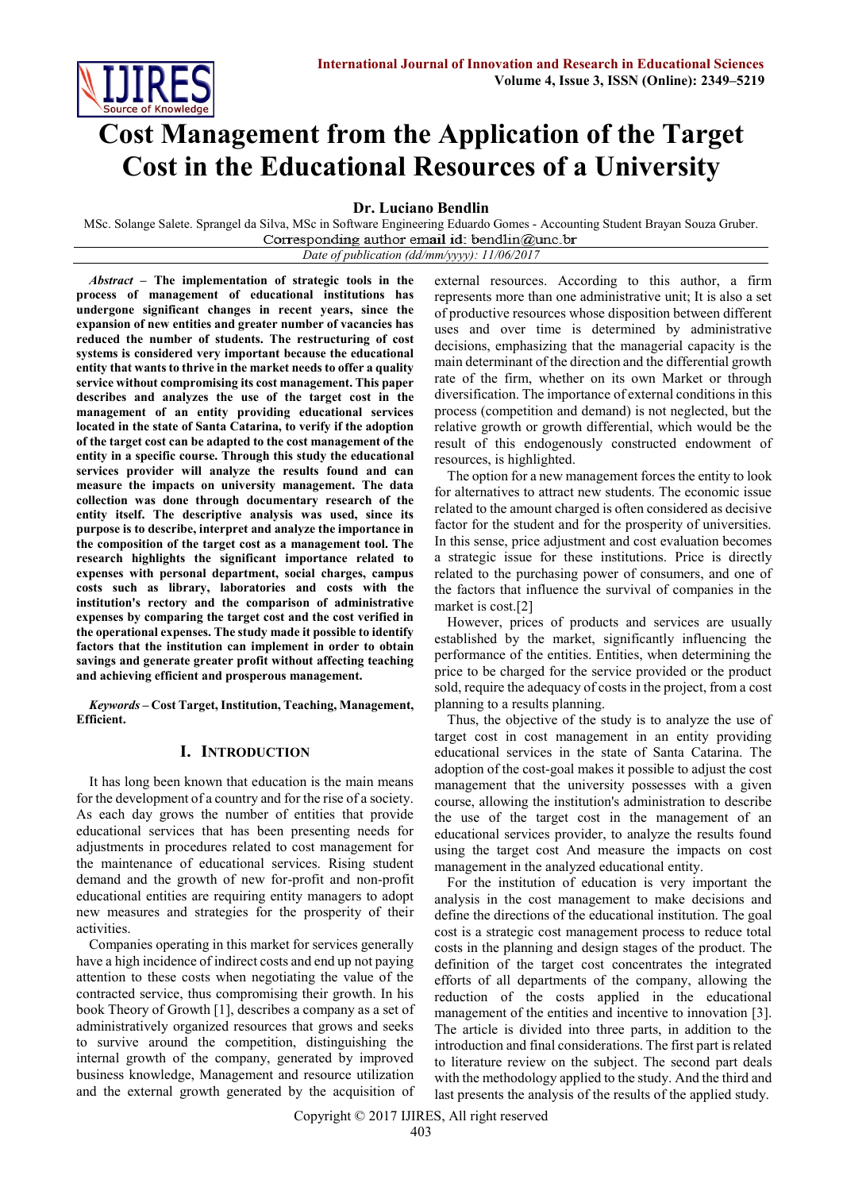# **Cost Management from the Application of the Target Cost in the Educational Resources of a University**

**Dr. Luciano Bendlin**

MSc. Solange Salete. Sprangel da Silva, MSc in Software Engineering Eduardo Gomes - Accounting Student Brayan Souza Gruber. Corresponding author email id: bendlin@unc.br

*Date of publication (dd/mm/yyyy): 11/06/2017*

*Abstract –* **The implementation of strategic tools in the process of management of educational institutions has undergone significant changes in recent years, since the expansion of new entities and greater number of vacancies has reduced the number of students. The restructuring of cost systems is considered very important because the educational entity that wants to thrive in the market needs to offer a quality service without compromising its cost management. This paper describes and analyzes the use of the target cost in the management of an entity providing educational services located in the state of Santa Catarina, to verify if the adoption of the target cost can be adapted to the cost management of the entity in a specific course. Through this study the educational services provider will analyze the results found and can measure the impacts on university management. The data collection was done through documentary research of the entity itself. The descriptive analysis was used, since its purpose is to describe, interpret and analyze the importance in the composition of the target cost as a management tool. The research highlights the significant importance related to expenses with personal department, social charges, campus costs such as library, laboratories and costs with the institution's rectory and the comparison of administrative expenses by comparing the target cost and the cost verified in the operational expenses. The study made it possible to identify factors that the institution can implement in order to obtain savings and generate greater profit without affecting teaching and achieving efficient and prosperous management.**

*Keywords* **– Cost Target, Institution, Teaching, Management, Efficient.**

# **I. INTRODUCTION**

It has long been known that education is the main means for the development of a country and for the rise of a society. As each day grows the number of entities that provide educational services that has been presenting needs for adjustments in procedures related to cost management for the maintenance of educational services. Rising student demand and the growth of new for-profit and non-profit educational entities are requiring entity managers to adopt new measures and strategies for the prosperity of their activities.

Companies operating in this market for services generally have a high incidence of indirect costs and end up not paying attention to these costs when negotiating the value of the contracted service, thus compromising their growth. In his book Theory of Growth [1], describes a company as a set of administratively organized resources that grows and seeks to survive around the competition, distinguishing the internal growth of the company, generated by improved business knowledge, Management and resource utilization and the external growth generated by the acquisition of

external resources. According to this author, a firm represents more than one administrative unit; It is also a set of productive resources whose disposition between different uses and over time is determined by administrative decisions, emphasizing that the managerial capacity is the main determinant of the direction and the differential growth rate of the firm, whether on its own Market or through diversification. The importance of external conditions in this process (competition and demand) is not neglected, but the relative growth or growth differential, which would be the result of this endogenously constructed endowment of resources, is highlighted.

The option for a new management forces the entity to look for alternatives to attract new students. The economic issue related to the amount charged is often considered as decisive factor for the student and for the prosperity of universities. In this sense, price adjustment and cost evaluation becomes a strategic issue for these institutions. Price is directly related to the purchasing power of consumers, and one of the factors that influence the survival of companies in the market is cost.[2]

However, prices of products and services are usually established by the market, significantly influencing the performance of the entities. Entities, when determining the price to be charged for the service provided or the product sold, require the adequacy of costs in the project, from a cost planning to a results planning.

Thus, the objective of the study is to analyze the use of target cost in cost management in an entity providing educational services in the state of Santa Catarina. The adoption of the cost-goal makes it possible to adjust the cost management that the university possesses with a given course, allowing the institution's administration to describe the use of the target cost in the management of an educational services provider, to analyze the results found using the target cost And measure the impacts on cost management in the analyzed educational entity.

For the institution of education is very important the analysis in the cost management to make decisions and define the directions of the educational institution. The goal cost is a strategic cost management process to reduce total costs in the planning and design stages of the product. The definition of the target cost concentrates the integrated efforts of all departments of the company, allowing the reduction of the costs applied in the educational management of the entities and incentive to innovation [3]. The article is divided into three parts, in addition to the introduction and final considerations. The first part is related to literature review on the subject. The second part deals with the methodology applied to the study. And the third and last presents the analysis of the results of the applied study.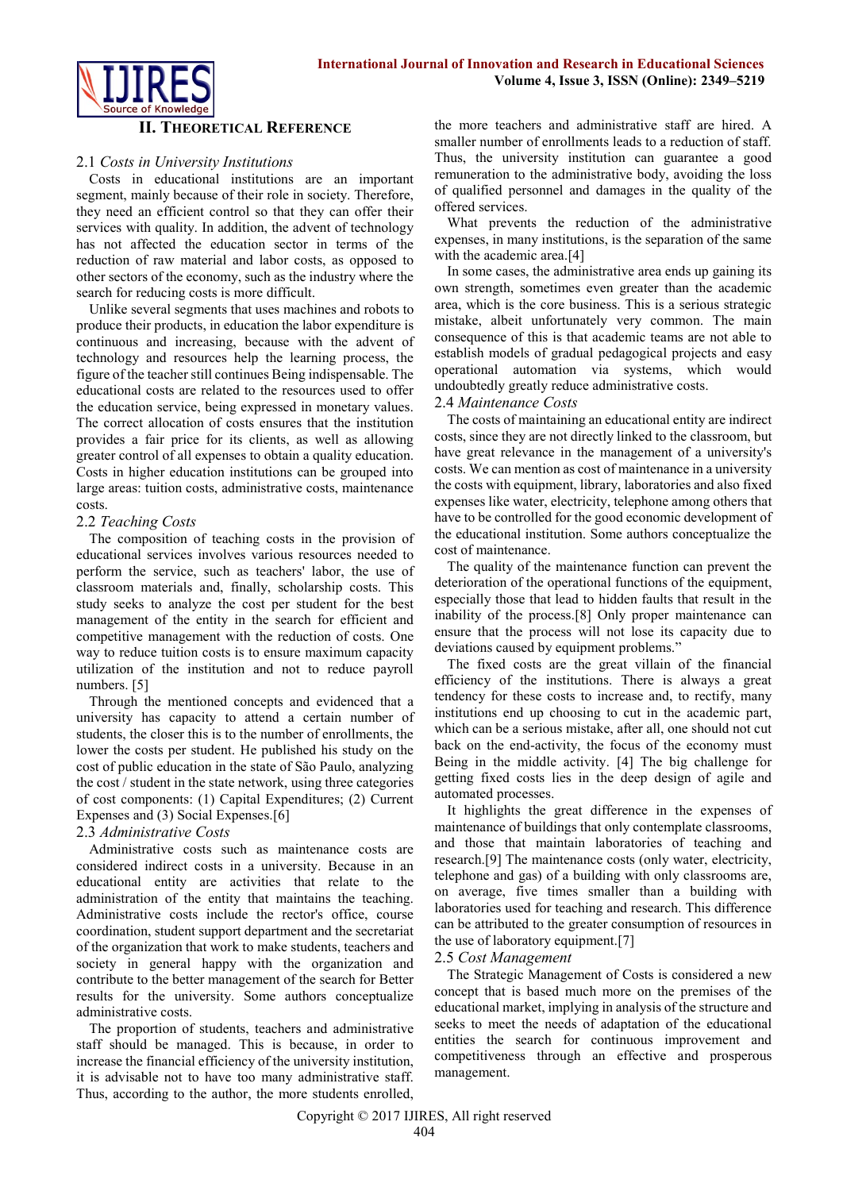

### **II. THEORETICAL REFERENCE**

## 2.1 *Costs in University Institutions*

Costs in educational institutions are an important segment, mainly because of their role in society. Therefore, they need an efficient control so that they can offer their services with quality. In addition, the advent of technology has not affected the education sector in terms of the reduction of raw material and labor costs, as opposed to other sectors of the economy, such as the industry where the search for reducing costs is more difficult.

Unlike several segments that uses machines and robots to produce their products, in education the labor expenditure is continuous and increasing, because with the advent of technology and resources help the learning process, the figure of the teacher still continues Being indispensable. The educational costs are related to the resources used to offer the education service, being expressed in monetary values. The correct allocation of costs ensures that the institution provides a fair price for its clients, as well as allowing greater control of all expenses to obtain a quality education. Costs in higher education institutions can be grouped into large areas: tuition costs, administrative costs, maintenance costs.

## 2.2 *Teaching Costs*

The composition of teaching costs in the provision of educational services involves various resources needed to perform the service, such as teachers' labor, the use of classroom materials and, finally, scholarship costs. This study seeks to analyze the cost per student for the best management of the entity in the search for efficient and competitive management with the reduction of costs. One way to reduce tuition costs is to ensure maximum capacity utilization of the institution and not to reduce payroll numbers. [5]

Through the mentioned concepts and evidenced that a university has capacity to attend a certain number of students, the closer this is to the number of enrollments, the lower the costs per student. He published his study on the cost of public education in the state of São Paulo, analyzing the cost / student in the state network, using three categories of cost components: (1) Capital Expenditures; (2) Current Expenses and (3) Social Expenses.[6]

#### 2.3 *Administrative Costs*

Administrative costs such as maintenance costs are considered indirect costs in a university. Because in an educational entity are activities that relate to the administration of the entity that maintains the teaching. Administrative costs include the rector's office, course coordination, student support department and the secretariat of the organization that work to make students, teachers and society in general happy with the organization and contribute to the better management of the search for Better results for the university. Some authors conceptualize administrative costs.

The proportion of students, teachers and administrative staff should be managed. This is because, in order to increase the financial efficiency of the university institution, it is advisable not to have too many administrative staff. Thus, according to the author, the more students enrolled,

the more teachers and administrative staff are hired. A smaller number of enrollments leads to a reduction of staff. Thus, the university institution can guarantee a good remuneration to the administrative body, avoiding the loss of qualified personnel and damages in the quality of the offered services.

What prevents the reduction of the administrative expenses, in many institutions, is the separation of the same with the academic area.[4]

In some cases, the administrative area ends up gaining its own strength, sometimes even greater than the academic area, which is the core business. This is a serious strategic mistake, albeit unfortunately very common. The main consequence of this is that academic teams are not able to establish models of gradual pedagogical projects and easy operational automation via systems, which would undoubtedly greatly reduce administrative costs.

#### 2.4 *Maintenance Costs*

The costs of maintaining an educational entity are indirect costs, since they are not directly linked to the classroom, but have great relevance in the management of a university's costs. We can mention as cost of maintenance in a university the costs with equipment, library, laboratories and also fixed expenses like water, electricity, telephone among others that have to be controlled for the good economic development of the educational institution. Some authors conceptualize the cost of maintenance.

The quality of the maintenance function can prevent the deterioration of the operational functions of the equipment, especially those that lead to hidden faults that result in the inability of the process.[8] Only proper maintenance can ensure that the process will not lose its capacity due to deviations caused by equipment problems."

The fixed costs are the great villain of the financial efficiency of the institutions. There is always a great tendency for these costs to increase and, to rectify, many institutions end up choosing to cut in the academic part, which can be a serious mistake, after all, one should not cut back on the end-activity, the focus of the economy must Being in the middle activity. [4] The big challenge for getting fixed costs lies in the deep design of agile and automated processes.

It highlights the great difference in the expenses of maintenance of buildings that only contemplate classrooms, and those that maintain laboratories of teaching and research.[9] The maintenance costs (only water, electricity, telephone and gas) of a building with only classrooms are, on average, five times smaller than a building with laboratories used for teaching and research. This difference can be attributed to the greater consumption of resources in the use of laboratory equipment.[7]

#### 2.5 *Cost Management*

The Strategic Management of Costs is considered a new concept that is based much more on the premises of the educational market, implying in analysis of the structure and seeks to meet the needs of adaptation of the educational entities the search for continuous improvement and competitiveness through an effective and prosperous management.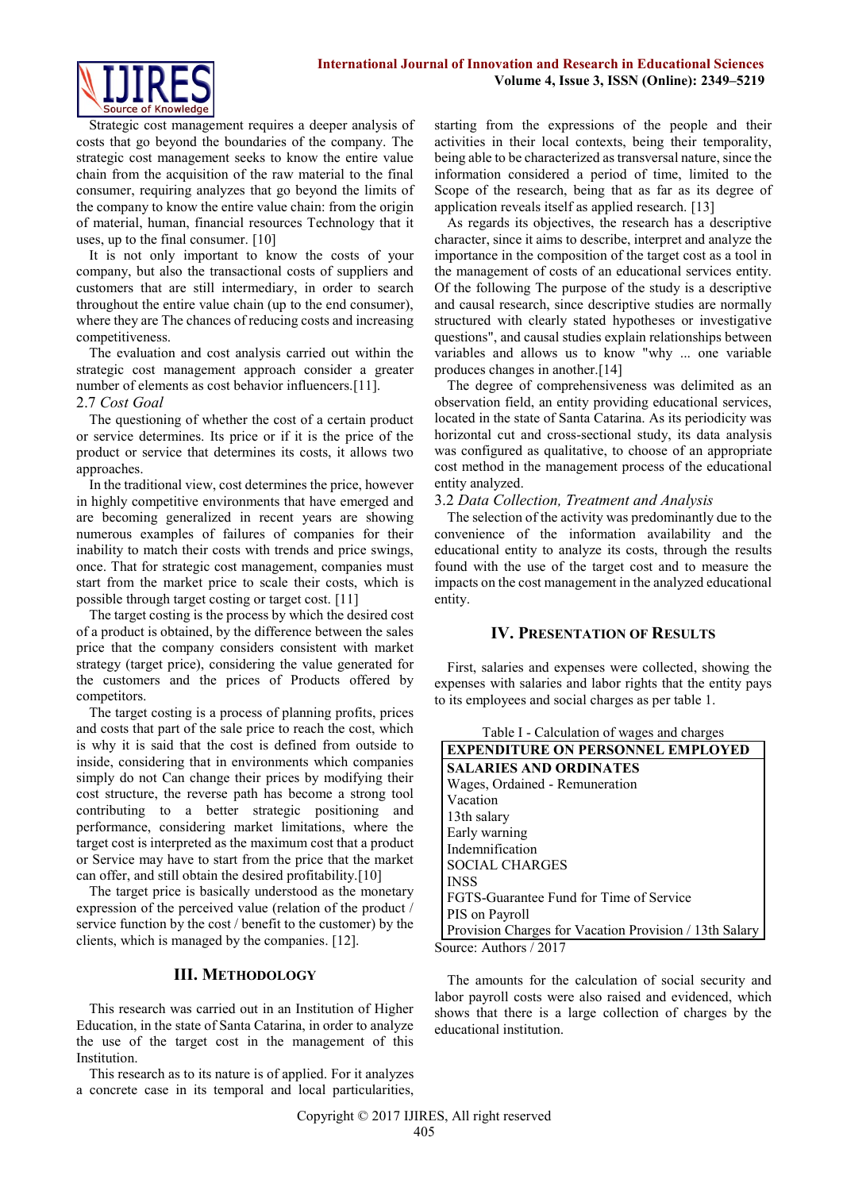

Strategic cost management requires a deeper analysis of costs that go beyond the boundaries of the company. The strategic cost management seeks to know the entire value chain from the acquisition of the raw material to the final consumer, requiring analyzes that go beyond the limits of the company to know the entire value chain: from the origin of material, human, financial resources Technology that it uses, up to the final consumer. [10]

It is not only important to know the costs of your company, but also the transactional costs of suppliers and customers that are still intermediary, in order to search throughout the entire value chain (up to the end consumer), where they are The chances of reducing costs and increasing competitiveness.

The evaluation and cost analysis carried out within the strategic cost management approach consider a greater number of elements as cost behavior influencers.[11].

#### 2.7 *Cost Goal*

The questioning of whether the cost of a certain product or service determines. Its price or if it is the price of the product or service that determines its costs, it allows two approaches.

In the traditional view, cost determines the price, however in highly competitive environments that have emerged and are becoming generalized in recent years are showing numerous examples of failures of companies for their inability to match their costs with trends and price swings, once. That for strategic cost management, companies must start from the market price to scale their costs, which is possible through target costing or target cost. [11]

The target costing is the process by which the desired cost of a product is obtained, by the difference between the sales price that the company considers consistent with market strategy (target price), considering the value generated for the customers and the prices of Products offered by competitors.

The target costing is a process of planning profits, prices and costs that part of the sale price to reach the cost, which is why it is said that the cost is defined from outside to inside, considering that in environments which companies simply do not Can change their prices by modifying their cost structure, the reverse path has become a strong tool contributing to a better strategic positioning and performance, considering market limitations, where the target cost is interpreted as the maximum cost that a product or Service may have to start from the price that the market can offer, and still obtain the desired profitability.[10]

The target price is basically understood as the monetary expression of the perceived value (relation of the product / service function by the cost / benefit to the customer) by the clients, which is managed by the companies. [12].

# **III. METHODOLOGY**

This research was carried out in an Institution of Higher Education, in the state of Santa Catarina, in order to analyze the use of the target cost in the management of this Institution.

This research as to its nature is of applied. For it analyzes a concrete case in its temporal and local particularities, starting from the expressions of the people and their activities in their local contexts, being their temporality, being able to be characterized as transversal nature, since the information considered a period of time, limited to the Scope of the research, being that as far as its degree of application reveals itself as applied research. [13]

As regards its objectives, the research has a descriptive character, since it aims to describe, interpret and analyze the importance in the composition of the target cost as a tool in the management of costs of an educational services entity. Of the following The purpose of the study is a descriptive and causal research, since descriptive studies are normally structured with clearly stated hypotheses or investigative questions", and causal studies explain relationships between variables and allows us to know "why ... one variable produces changes in another.[14]

The degree of comprehensiveness was delimited as an observation field, an entity providing educational services, located in the state of Santa Catarina. As its periodicity was horizontal cut and cross-sectional study, its data analysis was configured as qualitative, to choose of an appropriate cost method in the management process of the educational entity analyzed.

## 3.2 *Data Collection, Treatment and Analysis*

The selection of the activity was predominantly due to the convenience of the information availability and the educational entity to analyze its costs, through the results found with the use of the target cost and to measure the impacts on the cost management in the analyzed educational entity.

# **IV. PRESENTATION OF RESULTS**

First, salaries and expenses were collected, showing the expenses with salaries and labor rights that the entity pays to its employees and social charges as per table 1.

| <b>EXPENDITURE ON PERSONNEL EMPLOYED</b>               |
|--------------------------------------------------------|
| <b>SALARIES AND ORDINATES</b>                          |
| Wages, Ordained - Remuneration                         |
| Vacation                                               |
| 13th salary                                            |
| Early warning                                          |
| Indemnification                                        |
| <b>SOCIAL CHARGES</b>                                  |
| <b>INSS</b>                                            |
| FGTS-Guarantee Fund for Time of Service                |
| PIS on Payroll                                         |
| Provision Charges for Vacation Provision / 13th Salary |
| $'$ auraa: Authara (2017)                              |

Source: Authors / 2017

The amounts for the calculation of social security and labor payroll costs were also raised and evidenced, which shows that there is a large collection of charges by the educational institution.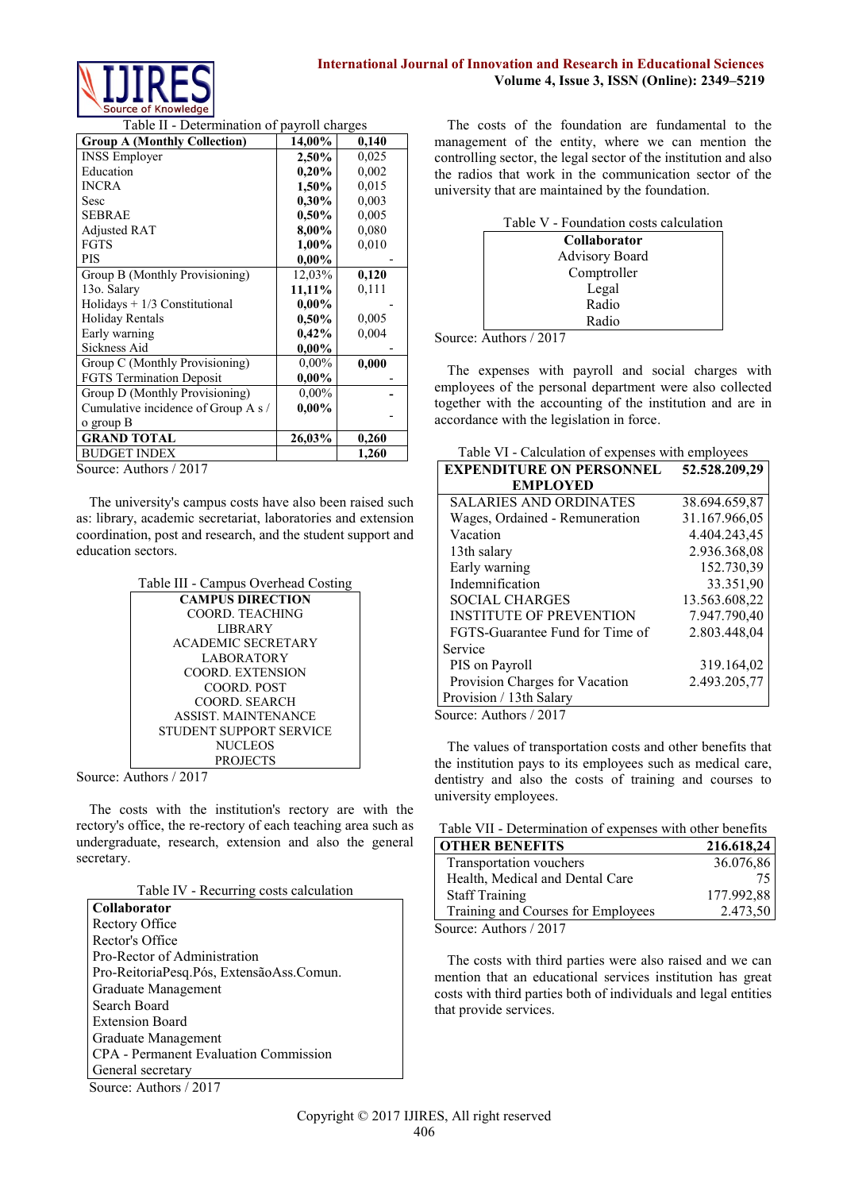

Table II - Determination of payroll charges

| <b>Group A (Monthly Collection)</b> | 14,00%   | 0,140 |
|-------------------------------------|----------|-------|
| <b>INSS Employer</b>                | 2,50%    | 0,025 |
| Education                           | 0,20%    | 0.002 |
| <b>INCRA</b>                        | 1,50%    | 0.015 |
| Sesc                                | $0.30\%$ | 0.003 |
| <b>SEBRAE</b>                       | $0.50\%$ | 0,005 |
| <b>Adjusted RAT</b>                 | 8,00%    | 0.080 |
| <b>FGTS</b>                         | 1,00%    | 0,010 |
| <b>PIS</b>                          | $0.00\%$ |       |
| Group B (Monthly Provisioning)      | 12,03%   | 0,120 |
| 13o. Salary                         | 11,11%   | 0,111 |
| Holidays $+1/3$ Constitutional      | $0.00\%$ |       |
| <b>Holiday Rentals</b>              | 0,50%    | 0,005 |
| Early warning                       | 0,42%    | 0,004 |
| <b>Sickness Aid</b>                 | $0,00\%$ |       |
| Group C (Monthly Provisioning)      | $0,00\%$ | 0,000 |
| FGTS Termination Deposit            | $0,00\%$ |       |
| Group D (Monthly Provisioning)      | $0,00\%$ |       |
| Cumulative incidence of Group A s / | $0.00\%$ |       |
| o group B                           |          |       |
| <b>GRAND TOTAL</b>                  | 26,03%   | 0,260 |
| <b>BUDGET INDEX</b>                 |          | 1,260 |

Source: Authors / 2017

The university's campus costs have also been raised such as: library, academic secretariat, laboratories and extension coordination, post and research, and the student support and education sectors.

|  | Table III - Campus Overhead Costing |
|--|-------------------------------------|
|--|-------------------------------------|

| <b>CAMPUS DIRECTION</b>   |
|---------------------------|
| COORD. TEACHING           |
| LIBR AR Y                 |
| <b>ACADEMIC SECRETARY</b> |
| <b>LABORATORY</b>         |
| COORD. EXTENSION          |
| COORD. POST               |
| COORD. SEARCH             |
| <b>ASSIST MAINTENANCE</b> |
| STUDENT SUPPORT SERVICE   |
| <b>NUCLEOS</b>            |
| <b>PROJECTS</b>           |

Source: Authors / 2017

The costs with the institution's rectory are with the rectory's office, the re-rectory of each teaching area such as undergraduate, research, extension and also the general secretary.

| <b>Collaborator</b>                      |
|------------------------------------------|
| Rectory Office                           |
| Rector's Office                          |
| Pro-Rector of Administration             |
| Pro-ReitoriaPesq.Pós, ExtensãoAss.Comun. |
| Graduate Management                      |
| Search Board                             |
| <b>Extension Board</b>                   |
| Graduate Management                      |
| CPA - Permanent Evaluation Commission    |
| General secretary                        |
| Source: Authors / 2017                   |

The costs of the foundation are fundamental to the management of the entity, where we can mention the controlling sector, the legal sector of the institution and also the radios that work in the communication sector of the university that are maintained by the foundation.

| Table V - Foundation costs calculation |
|----------------------------------------|
| <b>Collaborator</b>                    |
| <b>Advisory Board</b>                  |
| Comptroller                            |
| Legal                                  |
| Radio                                  |
| Radio                                  |

Source: Authors / 2017

The expenses with payroll and social charges with employees of the personal department were also collected together with the accounting of the institution and are in accordance with the legislation in force.

| Table VI - Calculation of expenses with employees |  |
|---------------------------------------------------|--|
|---------------------------------------------------|--|

| <b>EXPENDITURE ON PERSONNEL</b>    | 52.528.209,29 |
|------------------------------------|---------------|
| <b>EMPLOYED</b>                    |               |
| <b>SALARIES AND ORDINATES</b>      | 38.694.659,87 |
| Wages, Ordained - Remuneration     | 31.167.966,05 |
| Vacation                           | 4.404.243,45  |
| 13th salary                        | 2.936.368,08  |
| Early warning                      | 152.730,39    |
| Indemnification                    | 33.351,90     |
| <b>SOCIAL CHARGES</b>              | 13.563.608,22 |
| <b>INSTITUTE OF PREVENTION</b>     | 7.947.790,40  |
| FGTS-Guarantee Fund for Time of    | 2.803.448,04  |
| Service                            |               |
| PIS on Payroll                     | 319.164,02    |
| Provision Charges for Vacation     | 2.493.205,77  |
| Provision / 13th Salary            |               |
| $_{\text{ouroa}}$ , Authors / 2017 |               |

Source: Authors / 2017

The values of transportation costs and other benefits that the institution pays to its employees such as medical care, dentistry and also the costs of training and courses to university employees.

| Table VII - Determination of expenses with other benefits |            |  |
|-----------------------------------------------------------|------------|--|
| <b>OTHER BENEFITS</b>                                     | 216.618,24 |  |
| Transportation vouchers                                   | 36.076,86  |  |
| Health, Medical and Dental Care                           | 75         |  |
| <b>Staff Training</b>                                     | 177.992,88 |  |
| Training and Courses for Employees                        | 2.473,50   |  |
| Source: Authors / 2017                                    |            |  |

The costs with third parties were also raised and we can mention that an educational services institution has great costs with third parties both of individuals and legal entities that provide services.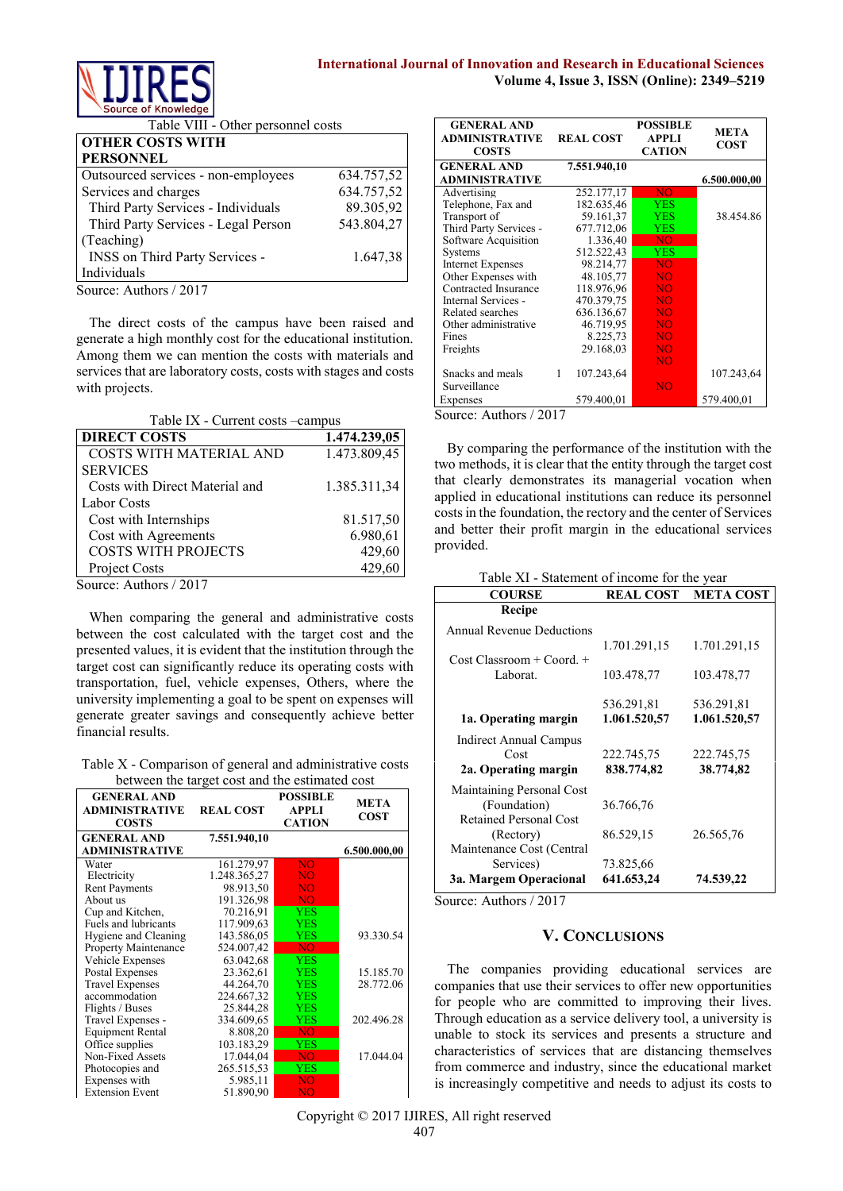

Table VIII - Other personnel costs

| <b>OTHER COSTS WITH</b>             |            |
|-------------------------------------|------------|
| <b>PERSONNEL</b>                    |            |
| Outsourced services - non-employees | 634.757,52 |
| Services and charges                | 634.757,52 |
| Third Party Services - Individuals  | 89.305,92  |
| Third Party Services - Legal Person | 543.804,27 |
| (Teaching)                          |            |
| INSS on Third Party Services -      | 1.647,38   |
| Individuals                         |            |
| Source: Authors / 2017              |            |

The direct costs of the campus have been raised and generate a high monthly cost for the educational institution. Among them we can mention the costs with materials and services that are laboratory costs, costs with stages and costs with projects.

Table IX - Current costs –campus

| <b>DIRECT COSTS</b>            | 1.474.239,05 |
|--------------------------------|--------------|
| COSTS WITH MATERIAL AND        | 1.473.809,45 |
| <b>SERVICES</b>                |              |
| Costs with Direct Material and | 1.385.311,34 |
| <b>Labor Costs</b>             |              |
| Cost with Internships          | 81.517,50    |
| Cost with Agreements           | 6.980,61     |
| <b>COSTS WITH PROJECTS</b>     | 429,60       |
| Project Costs                  | 429,60       |
|                                |              |

Source: Authors / 2017

When comparing the general and administrative costs between the cost calculated with the target cost and the presented values, it is evident that the institution through the target cost can significantly reduce its operating costs with transportation, fuel, vehicle expenses, Others, where the university implementing a goal to be spent on expenses will generate greater savings and consequently achieve better financial results.

Table X - Comparison of general and administrative costs between the target cost and the estimated cost

| <b>GENERAL AND</b><br><b>ADMINISTRATIVE</b><br><b>COSTS</b> | <b>REAL COST</b> | <b>POSSIBLE</b><br><b>APPLI</b><br><b>CATION</b> | <b>META</b><br><b>COST</b> |
|-------------------------------------------------------------|------------------|--------------------------------------------------|----------------------------|
| <b>GENERAL AND</b>                                          | 7.551.940,10     |                                                  |                            |
| ADMINISTRATIVE                                              |                  |                                                  | 6.500.000,00               |
| Water                                                       | 161.279.97       | <b>NO</b>                                        |                            |
| Electricity                                                 | 1.248.365,27     | NO                                               |                            |
| <b>Rent Payments</b>                                        | 98.913,50        | NO                                               |                            |
| About us                                                    | 191.326,98       | NO.                                              |                            |
| Cup and Kitchen,                                            | 70.216,91        | <b>YES</b>                                       |                            |
| Fuels and lubricants                                        | 117.909,63       | YES                                              |                            |
| Hygiene and Cleaning                                        | 143.586,05       | <b>YES</b>                                       | 93.330.54                  |
| <b>Property Maintenance</b>                                 | 524.007,42       | NO.                                              |                            |
| Vehicle Expenses                                            | 63.042,68        | <b>YES</b>                                       |                            |
| Postal Expenses                                             | 23.362,61        | <b>YES</b>                                       | 15.185.70                  |
| <b>Travel Expenses</b>                                      | 44.264,70        | YES                                              | 28.772.06                  |
| accommodation                                               | 224.667,32       | YES                                              |                            |
| Flights / Buses                                             | 25.844,28        | <b>YES</b>                                       |                            |
| Travel Expenses -                                           | 334.609,65       | YES.                                             | 202.496.28                 |
| Equipment Rental                                            | 8.808,20         | N <sub>O</sub>                                   |                            |
| Office supplies                                             | 103.183,29       | <b>YES</b>                                       |                            |
| Non-Fixed Assets                                            | 17.044,04        | NO.                                              | 17.044.04                  |
| Photocopies and                                             | 265.515.53       | YES                                              |                            |
| Expenses with                                               | 5.985,11         | NO.                                              |                            |
| <b>Extension Event</b>                                      | 51.890,90        | NO                                               |                            |

| <b>GENERAL AND</b><br><b>ADMINISTRATIVE</b><br><b>COSTS</b> |   | <b>REAL COST</b> | <b>POSSIBLE</b><br>APPLI<br><b>CATION</b> | <b>META</b><br>COST |
|-------------------------------------------------------------|---|------------------|-------------------------------------------|---------------------|
| <b>GENERAL AND</b>                                          |   | 7.551.940,10     |                                           |                     |
| ADMINISTRATIVE                                              |   |                  |                                           | 6.500.000,00        |
| Advertising                                                 |   | 252.177,17       | NO <sub>1</sub>                           |                     |
| Telephone, Fax and                                          |   | 182.635,46       | <b>YES</b>                                |                     |
| Transport of                                                |   | 59.161,37        | <b>YES</b>                                | 38.454.86           |
| Third Party Services -                                      |   | 677.712,06       | YES                                       |                     |
| Software Acquisition                                        |   | 1.336,40         | NO.                                       |                     |
| Systems                                                     |   | 512.522,43       | <b>YES</b>                                |                     |
| <b>Internet Expenses</b>                                    |   | 98.214,77        | <b>NO</b>                                 |                     |
| Other Expenses with                                         |   | 48.105,77        | <b>NO</b>                                 |                     |
| Contracted Insurance                                        |   | 118.976,96       | <b>NO</b>                                 |                     |
| Internal Services -                                         |   | 470.379,75       | <b>NO</b>                                 |                     |
| Related searches                                            |   | 636.136,67       | <b>NO</b>                                 |                     |
| Other administrative                                        |   | 46.719,95        | NO                                        |                     |
| Fines                                                       |   | 8.225,73         | <b>NO</b>                                 |                     |
| Freights                                                    |   | 29.168,03        | N <sub>O</sub>                            |                     |
|                                                             |   |                  | <b>NO</b>                                 |                     |
| Snacks and meals                                            | 1 | 107.243,64       |                                           | 107.243,64          |
| Surveillance                                                |   |                  | <b>NO</b>                                 |                     |
| Expenses                                                    |   | 579.400,01       |                                           | 579.400,01          |

Source: Authors / 2017

By comparing the performance of the institution with the two methods, it is clear that the entity through the target cost that clearly demonstrates its managerial vocation when applied in educational institutions can reduce its personnel costs in the foundation, the rectory and the center of Services and better their profit margin in the educational services provided.

Table XI - Statement of income for the year

| <b>COURSE</b>                    | <b>REAL COST</b>        | <b>META COST</b> |
|----------------------------------|-------------------------|------------------|
| Recipe                           |                         |                  |
| <b>Annual Revenue Deductions</b> |                         |                  |
|                                  | 1.701.291,15            | 1.701.291,15     |
| $Cost Classroom + Coord. +$      |                         |                  |
| Laborat.                         | 103.478,77              | 103.478,77       |
|                                  | 536.291,81              | 536.291,81       |
| 1a. Operating margin             | 1.061.520,57            | 1.061.520,57     |
| <b>Indirect Annual Campus</b>    |                         |                  |
| Cost                             | 222.745,75              | 222.745,75       |
| 2a. Operating margin             | 838.774,82              | 38.774,82        |
| Maintaining Personal Cost        |                         |                  |
| (Foundation)                     | 36.766,76               |                  |
| <b>Retained Personal Cost</b>    |                         |                  |
| (Rectory)                        | 86.529,15               | 26.565,76        |
| Maintenance Cost (Central        |                         |                  |
| Services)                        | 73.825,66<br>641.653,24 | 74.539,22        |
| 3a. Margem Operacional           |                         |                  |

Source: Authors / 2017

# **V. CONCLUSIONS**

The companies providing educational services are companies that use their services to offer new opportunities for people who are committed to improving their lives. Through education as a service delivery tool, a university is unable to stock its services and presents a structure and characteristics of services that are distancing themselves from commerce and industry, since the educational market is increasingly competitive and needs to adjust its costs to